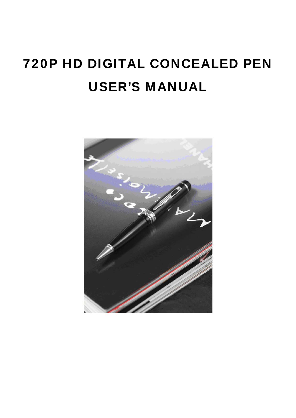# 720P HD DIGITAL CONCEALED PEN USER'S MANUAL

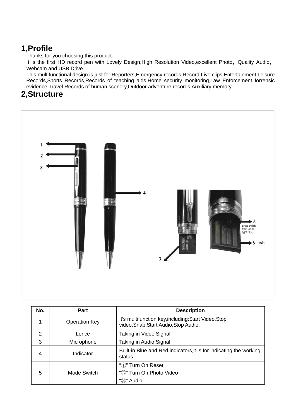# **1,Profile**

Thanks for you choosing this product.

It is the first HD record pen with Lovely Design, High Resolution Video, excellent Photo, Quality Audio, Webcam and USB Drive.

This multifunctional design is just for Reporters,Emergency records,Record Live clips,Entertainment,Leisure Records, Sports Records, Records of teaching aids, Home security monitoring, Law Enforcement forrensic evidence,Travel Records of human scenery,Outdoor adventure records,Auxiliary memory.

# **2,Structure**



| No. | <b>Part</b>          | <b>Description</b>                                                                            |
|-----|----------------------|-----------------------------------------------------------------------------------------------|
| 1   | <b>Operation Key</b> | It's multifunction key, including: Start Video, Stop<br>video, Snap, Start Audio, Stop Audio. |
| 2   | Lence                | Taking in Video Signal                                                                        |
| 3   | Microphone           | Taking in Audio Signal                                                                        |
| 4   | Indicator            | Built-in Blue and Red indicators, it is for indicating the working<br>status.                 |
| 5   | Mode Switch          | " $\mathbb{D}$ " Turn On, Reset                                                               |
|     |                      | "2" Turn On, Photo, Video                                                                     |
|     |                      | " <sub>(3</sub> )" Audio                                                                      |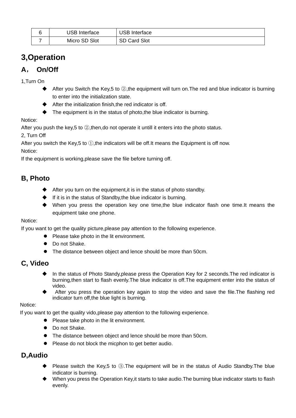| USB<br>⊦Interface | <b>USB Interface</b> |
|-------------------|----------------------|
| Micro SD Slot     | <b>SD Card Slot</b>  |

# **3,Operation**

# **A**, **On/Off**

1,Turn On

- $\blacklozenge$  After you Switch the Key,5 to  $\oslash$ , the equipment will turn on. The red and blue indicator is burning to enter into the initialization state.
- After the initialization finish,the red indicator is off.
- $\blacklozenge$  The equipment is in the status of photo, the blue indicator is burning.

Notice:

After you push the key,5 to 2, then, do not operate it untill it enters into the photo status.

2, Turn Off

After you switch the Key,5 to ①,the indicators will be off.It means the Equipment is off now.

Notice:

If the equipment is working,please save the file before turning off.

# **B, Photo**

- $\blacklozenge$  After you turn on the equipment, it is in the status of photo standby.
- $\blacklozenge$  If it is in the status of Standby, the blue indicator is burning.
- When you press the operation key one time,the blue indicator flash one time.It means the equipment take one phone.

#### Notice:

If you want to get the quality picture,please pay attention to the following experience.

- Please take photo in the lit environment.
- Do not Shake.
- The distance between object and lence should be more than 50cm.

#### **C, Video**

- In the status of Photo Standy, please press the Operation Key for 2 seconds. The red indicator is burning,then start to flash evenly.The blue indicator is off.The equipment enter into the status of video.
- After you press the operation key again to stop the video and save the file.The flashing red indicator turn off,the blue light is burning.

Notice:

If you want to get the quality vido,please pay attention to the following experience.

- Please take photo in the lit environment.
- Do not Shake.
- The distance between object and lence should be more than 50cm.
- Please do not block the micphon to get better audio.

#### **D,Audio**

- Please switch the Key,5 to 3. The equipment will be in the status of Audio Standby. The blue indicator is burning.
- ◆ When you press the Operation Key,it starts to take audio.The burning blue indicator starts to flash evenly.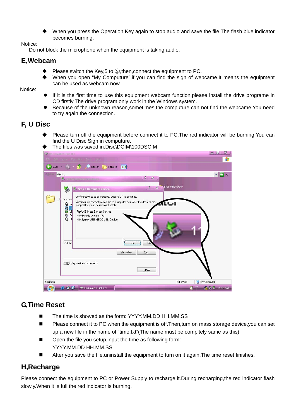When you press the Operation Key again to stop audio and save the file. The flash blue indicator becomes burning.

Notice:

Do not block the microphone when the equipment is taking audio.

#### **E,Webcam**

- Please switch the Key,5 to ②,then,connect the equipment to PC.
- When you open "My Computure",if you can find the sign of webcame.It means the equipment can be used as webcam now.

Notice:

- If it is the first time to use this equipment webcam function,please install the drive programe in CD firstly.The drive program only work in the Windows system.
- Because of the unknown reason,sometimes,the computure can not find the webcame.You need to try again the connection.

#### **F, U Disc**

- Please turn off the equipment before connect it to PC.The red indicator will be burning.You can find the U Disc Sign in computure.
- $-0$   $x$  $\Theta$ **Back** Search Folders III **OF**  $\bullet$   $\rightarrow$  Go are this fold  $2^{1}$  $\overline{\mathbb{Z}}$ **Stop a Hardware** Confirm devices to be stopped, Choose OK to continue. Hard Windows will attempt to stop the following devices. After the devices a<br>stopped they may be removed safely.  $\begin{array}{c}\n\frac{1}{2} \\
0 \\
0 \\
0\n\end{array}$ GUSB Mass Storage Device Generic volume - (F:)<br>
Syntek USB MSDC USB Device Ĝ SI **USB M**  $\overline{a}$  $Propeties$  $\underline{\mathsf{Stop}}$ Display device components Close 2 objects 21 bytes My Computer  $\begin{array}{|c|c|c|c|c|}\hline \textbf{C} & \textbf{O} & \textbf{C} \end{array}$   $\begin{array}{|c|c|c|c|c|}\hline \textbf{F} & \textbf{Removable Disk (F.)} \end{array}$ 2 - A 3 to 11:45 AM
- The files was saved in:Disc\DCIM\100DSCIM

#### **G,Time Reset**

- The time is showed as the form: YYYY.MM.DD HH.MM.SS
- **Please connect it to PC when the equipment is off. Then, turn on mass storage device, you can set** up a new file in the name of "time.txt"(The name must be compltely same as this)
- Open the file you setup, input the time as following form: YYYY.MM.DD HH.MM.SS
- After you save the file,uninstall the equipment to turn on it again.The time reset finishes.

#### **H,Recharge**

Please connect the equipment to PC or Power Supply to recharge it. During recharging, the red indicator flash slowly. When it is full, the red indicator is burning.